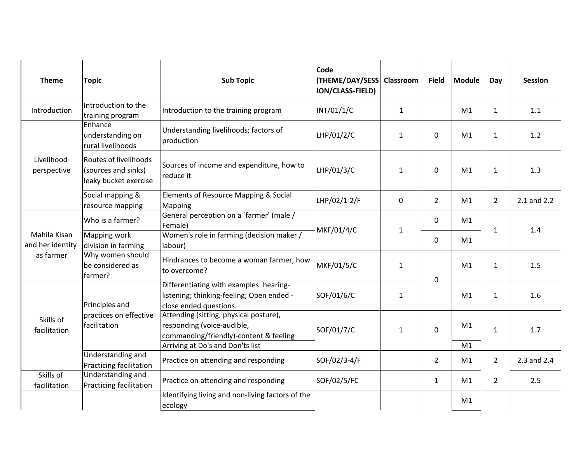| <b>Theme</b>                     | <b>Topic</b>                                                          | <b>Sub Topic</b>                                                                                                                             | <b>Code</b><br>(THEME/DAY/SESS   Classroom<br>ION/CLASS-FIELD) |              | <b>Field</b>   | Module       | Day            | <b>Session</b> |
|----------------------------------|-----------------------------------------------------------------------|----------------------------------------------------------------------------------------------------------------------------------------------|----------------------------------------------------------------|--------------|----------------|--------------|----------------|----------------|
| Introduction                     | Introduction to the<br>training program                               | Introduction to the training program                                                                                                         | INT/01/1/C                                                     | 1            |                | M1           | $\mathbf{1}$   | 1.1            |
|                                  | Enhance<br>understanding on<br>rural livelihoods                      | Understanding livelihoods; factors of<br>production                                                                                          | LHP/01/2/C                                                     | $\mathbf{1}$ | 0              | M1           | $\mathbf{1}$   | 1.2            |
| Livelihood<br>perspective        | Routes of livelihoods<br>(sources and sinks)<br>leaky bucket exercise | Sources of income and expenditure, how to<br>reduce it                                                                                       | LHP/01/3/C                                                     | $\mathbf{1}$ | 0              | M1           | $\mathbf{1}$   | 1.3            |
|                                  | Social mapping &<br>resource mapping                                  | Elements of Resource Mapping & Social<br>Mapping                                                                                             | LHP/02/1-2/F                                                   | 0            | $\overline{2}$ | M1           | $\overline{2}$ | 2.1 and 2.2    |
|                                  | Who is a farmer?                                                      | General perception on a 'farmer' (male /<br>Female)                                                                                          | MKF/01/4/C                                                     | $1\,$        | 0              | M1           | $\mathbf 1$    | 1.4            |
| Mahila Kisan<br>and her identity | Mapping work<br>division in farming                                   | Women's role in farming (decision maker /<br>labour)                                                                                         |                                                                |              | 0              | M1           |                |                |
| as farmer                        | Why women should<br>be considered as<br>farmer?                       | Hindrances to become a woman farmer, how<br>to overcome?                                                                                     | MKF/01/5/C                                                     | $1\,$        | 0              | M1           | $\mathbf{1}$   | 1.5            |
|                                  | Principles and                                                        | Differentiating with examples: hearing-<br>listening; thinking-feeling; Open ended -<br>close ended questions.                               | SOF/01/6/C                                                     | $\mathbf{1}$ |                | M1           | $\mathbf{1}$   | 1.6            |
| Skills of<br>facilitation        | practices on effective<br>facilitation                                | Attending (sitting, physical posture),<br>responding (voice-audible,<br>SOF/01/7/C<br>$\mathbf{1}$<br>commanding/friendly)-content & feeling |                                                                | 0            | M1             | $\mathbf{1}$ | 1.7            |                |
|                                  | <b>Understanding and</b><br>Practicing facilitation                   | Arriving at Do's and Don'ts list<br>Practice on attending and responding                                                                     | SOF/02/3-4/F                                                   |              | $\overline{2}$ | M1<br>M1     | $\overline{2}$ | 2.3 and 2.4    |
| Skills of<br>facilitation        | Understanding and<br>Practicing facilitation                          | Practice on attending and responding                                                                                                         | SOF/02/5/FC                                                    |              | $\mathbf{1}$   | M1           | $\overline{2}$ | 2.5            |
|                                  |                                                                       | Identifying living and non-living factors of the<br>ecology                                                                                  |                                                                |              |                | M1           |                |                |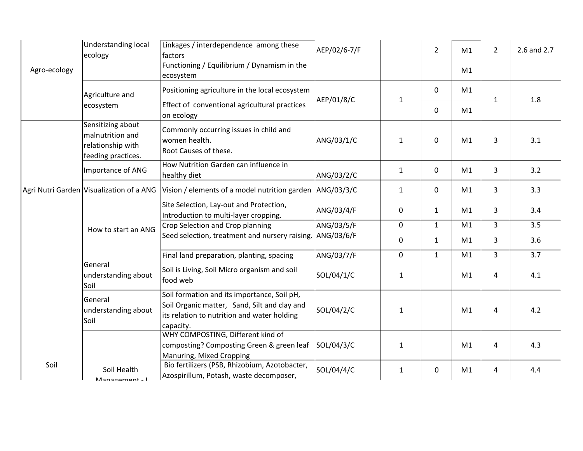|              | Understanding local<br>ecology                                                   | Linkages / interdependence among these<br>factors                                                                                                       | AEP/02/6-7/F |              | $\overline{2}$ | M1           | $\overline{2}$ | 2.6 and 2.7 |
|--------------|----------------------------------------------------------------------------------|---------------------------------------------------------------------------------------------------------------------------------------------------------|--------------|--------------|----------------|--------------|----------------|-------------|
| Agro-ecology |                                                                                  | Functioning / Equilibrium / Dynamism in the<br>ecosystem                                                                                                |              |              |                | M1           |                |             |
|              | Agriculture and                                                                  | Positioning agriculture in the local ecosystem<br>AEP/01/8/C                                                                                            | $\mathbf{1}$ | 0            | M1             | $\mathbf{1}$ | 1.8            |             |
|              | ecosystem                                                                        | Effect of conventional agricultural practices<br>on ecology                                                                                             |              |              | $\mathbf{0}$   | M1           |                |             |
|              | Sensitizing about<br>malnutrition and<br>relationship with<br>feeding practices. | Commonly occurring issues in child and<br>women health.<br>Root Causes of these.                                                                        | ANG/03/1/C   | $\mathbf{1}$ | $\mathbf 0$    | M1           | 3              | 3.1         |
|              | Importance of ANG                                                                | How Nutrition Garden can influence in<br>healthy diet                                                                                                   | ANG/03/2/C   | $\mathbf{1}$ | 0              | M1           | 3              | 3.2         |
|              | Agri Nutri Garden Visualization of a ANG                                         | Vision / elements of a model nutrition garden ANG/03/3/C                                                                                                |              | $\mathbf{1}$ | $\mathbf 0$    | M1           | 3              | 3.3         |
|              |                                                                                  | Site Selection, Lay-out and Protection,<br>Introduction to multi-layer cropping.                                                                        | ANG/03/4/F   | 0            | $\mathbf{1}$   | M1           | 3              | 3.4         |
|              | How to start an ANG                                                              | Crop Selection and Crop planning                                                                                                                        | ANG/03/5/F   | 0            | $\mathbf{1}$   | M1           | 3              | 3.5         |
|              |                                                                                  | Seed selection, treatment and nursery raising.                                                                                                          | ANG/03/6/F   | 0            | $\mathbf{1}$   | M1           | 3              | 3.6         |
|              |                                                                                  | Final land preparation, planting, spacing                                                                                                               | ANG/03/7/F   | $\mathbf 0$  | $\mathbf{1}$   | M1           | $\overline{3}$ | 3.7         |
|              | General<br>understanding about<br>Soil                                           | Soil is Living, Soil Micro organism and soil<br>food web                                                                                                | SOL/04/1/C   | $\mathbf{1}$ |                | M1           | 4              | 4.1         |
|              | General<br>understanding about<br>Soil                                           | Soil formation and its importance, Soil pH,<br>Soil Organic matter, Sand, Silt and clay and<br>its relation to nutrition and water holding<br>capacity. | SOL/04/2/C   | $\mathbf{1}$ |                | M1           | 4              | 4.2         |
|              |                                                                                  | WHY COMPOSTING, Different kind of<br>composting? Composting Green & green leaf<br>Manuring, Mixed Cropping                                              | SOL/04/3/C   | $\mathbf{1}$ |                | M1           | 4              | 4.3         |
| Soil         | Soil Health<br>$M$ anagamant - I                                                 | Bio fertilizers (PSB, Rhizobium, Azotobacter,<br>Azospirillum, Potash, waste decomposer,                                                                | SOL/04/4/C   | 1            | 0              | M1           | 4              | 4.4         |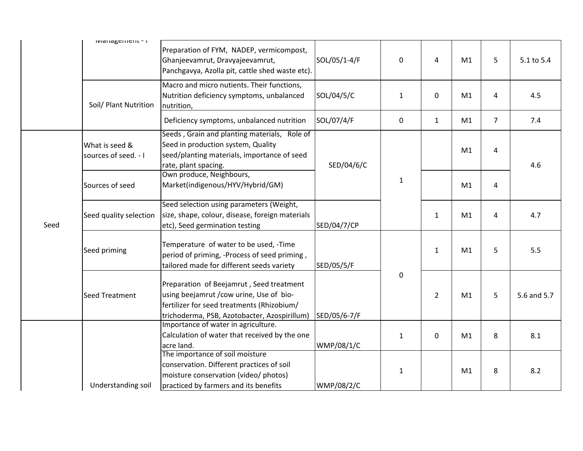|      | ividilagement - i                      |                                                                                                                                                                                    |                   |              |                |    |                |             |
|------|----------------------------------------|------------------------------------------------------------------------------------------------------------------------------------------------------------------------------------|-------------------|--------------|----------------|----|----------------|-------------|
|      |                                        | Preparation of FYM, NADEP, vermicompost,<br>Ghanjeevamrut, Dravyajeevamrut,<br>Panchgavya, Azolla pit, cattle shed waste etc).                                                     | SOL/05/1-4/F      | $\mathbf 0$  | $\overline{4}$ | M1 | 5              | 5.1 to 5.4  |
|      | Soil/ Plant Nutrition                  | Macro and micro nutients. Their functions,<br>Nutrition deficiency symptoms, unbalanced<br>nutrition,                                                                              | SOL/04/5/C        | $\mathbf{1}$ | 0              | M1 | 4              | 4.5         |
|      |                                        | Deficiency symptoms, unbalanced nutrition                                                                                                                                          | SOL/07/4/F        | 0            | $\mathbf{1}$   | M1 | $\overline{7}$ | 7.4         |
| Seed | What is seed &<br>sources of seed. - I | Seeds, Grain and planting materials, Role of<br>Seed in production system, Quality<br>seed/planting materials, importance of seed<br>rate, plant spacing.                          | SED/04/6/C        |              |                | M1 | 4              | 4.6         |
|      | Sources of seed                        | Own produce, Neighbours,<br>Market(indigenous/HYV/Hybrid/GM)                                                                                                                       |                   | $\mathbf 1$  | M1             |    | 4              |             |
|      | Seed quality selection                 | Seed selection using parameters (Weight,<br>size, shape, colour, disease, foreign materials<br>etc), Seed germination testing                                                      | SED/04/7/CP       |              | $\mathbf{1}$   | M1 | 4              | 4.7         |
|      | Seed priming                           | Temperature of water to be used, -Time<br>period of priming, -Process of seed priming,<br>tailored made for different seeds variety                                                | SED/05/5/F        |              | $\mathbf{1}$   | M1 | 5              | 5.5         |
|      | <b>Seed Treatment</b>                  | Preparation of Beejamrut, Seed treatment<br>using beejamrut / cow urine, Use of bio-<br>fertilizer for seed treatments (Rhizobium/<br>trichoderma, PSB, Azotobacter, Azospirillum) | SED/05/6-7/F      | $\mathbf 0$  | $\overline{2}$ | M1 | 5              | 5.6 and 5.7 |
|      |                                        | Importance of water in agriculture.<br>Calculation of water that received by the one<br>acre land.                                                                                 | <b>WMP/08/1/C</b> | $\mathbf{1}$ | $\mathbf{0}$   | M1 | 8              | 8.1         |
|      | Understanding soil                     | The importance of soil moisture<br>conservation. Different practices of soil<br>moisture conservation (video/ photos)<br>practiced by farmers and its benefits                     | <b>WMP/08/2/C</b> | $\mathbf{1}$ |                | M1 | 8              | 8.2         |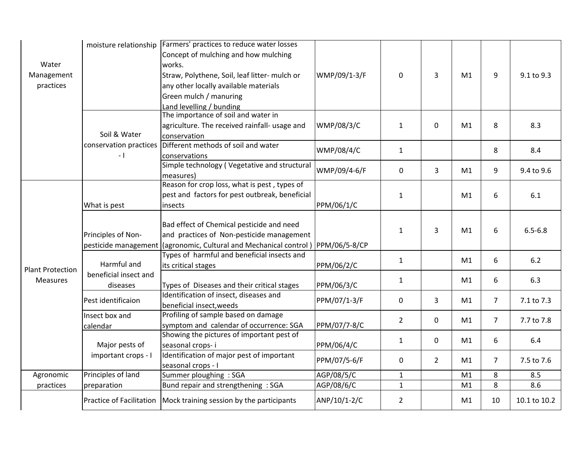|                         | moisture relationship  | Farmers' practices to reduce water losses                            |                   |                |                |         |                |              |
|-------------------------|------------------------|----------------------------------------------------------------------|-------------------|----------------|----------------|---------|----------------|--------------|
|                         |                        | Concept of mulching and how mulching                                 |                   |                |                |         |                |              |
| Water                   |                        | works.                                                               |                   |                |                |         |                |              |
| Management              |                        | Straw, Polythene, Soil, leaf litter- mulch or                        | WMP/09/1-3/F      | 0              | 3              | M1      | 9              | 9.1 to 9.3   |
| practices               |                        | any other locally available materials                                |                   |                |                |         |                |              |
|                         |                        | Green mulch / manuring                                               |                   |                |                |         |                |              |
|                         |                        | Land levelling / bunding                                             |                   |                |                |         |                |              |
|                         |                        | The importance of soil and water in                                  |                   |                |                |         |                |              |
|                         |                        | agriculture. The received rainfall- usage and                        | <b>WMP/08/3/C</b> | $\mathbf{1}$   | $\Omega$       | 8<br>M1 |                | 8.3          |
|                         | Soil & Water           | conservation                                                         |                   |                |                |         |                |              |
|                         | conservation practices | Different methods of soil and water                                  | <b>WMP/08/4/C</b> | $\mathbf{1}$   |                |         | 8              | 8.4          |
|                         | - 1                    | conservations                                                        |                   |                |                |         |                |              |
|                         |                        | Simple technology (Vegetative and structural                         | WMP/09/4-6/F      | $\mathbf{0}$   | 3              | M1      | 9              | 9.4 to 9.6   |
|                         |                        | measures)                                                            |                   |                |                |         |                |              |
|                         |                        | Reason for crop loss, what is pest, types of                         |                   |                |                |         |                |              |
|                         |                        | pest and factors for pest outbreak, beneficial                       |                   | $\mathbf{1}$   |                | M1      | 6              | 6.1          |
|                         | What is pest           | insects                                                              | PPM/06/1/C        |                |                |         |                |              |
|                         |                        |                                                                      |                   |                |                |         |                |              |
|                         | Principles of Non-     | Bad effect of Chemical pesticide and need                            |                   | $\mathbf{1}$   | 3              | M1      | 6              | $6.5 - 6.8$  |
|                         |                        | and practices of Non-pesticide management                            |                   |                |                |         |                |              |
|                         |                        | pesticide management (agronomic, Cultural and Mechanical control)    | PPM/06/5-8/CP     |                |                |         |                |              |
|                         |                        | Types of harmful and beneficial insects and                          |                   | $\mathbf{1}$   |                | M1      | 6              | 6.2          |
| <b>Plant Protection</b> | Harmful and            | its critical stages                                                  | PPM/06/2/C        |                |                |         |                |              |
| Measures                | beneficial insect and  |                                                                      |                   | $\mathbf{1}$   |                | M1      | 6              | 6.3          |
|                         | diseases               | Types of Diseases and their critical stages                          | PPM/06/3/C        |                |                |         |                |              |
|                         | Pest identificaion     | Identification of insect, diseases and                               | PPM/07/1-3/F      | 0              | 3<br>M1        |         | $\overline{7}$ | 7.1 to 7.3   |
|                         |                        | beneficial insect, weeds                                             |                   |                |                |         |                |              |
|                         | Insect box and         | Profiling of sample based on damage                                  |                   | $\overline{2}$ | $\mathbf 0$    | M1      | $\overline{7}$ | 7.7 to 7.8   |
|                         | calendar               | symptom and calendar of occurrence: SGA                              | PPM/07/7-8/C      |                |                |         |                |              |
|                         |                        | Showing the pictures of important pest of                            |                   | $\mathbf{1}$   | $\mathbf 0$    | M1      | 6              | 6.4          |
|                         | Major pests of         | seasonal crops-i                                                     | PPM/06/4/C        |                |                |         |                |              |
|                         | important crops - I    | Identification of major pest of important                            | PPM/07/5-6/F      | 0              | $\overline{2}$ | M1      | $\overline{7}$ | 7.5 to 7.6   |
|                         |                        | seasonal crops - I                                                   |                   |                |                |         |                |              |
| Agronomic               | Principles of land     | Summer ploughing : SGA                                               | AGP/08/5/C        | $\mathbf{1}$   |                | M1      | 8              | 8.5          |
| practices               | preparation            | Bund repair and strengthening : SGA                                  | AGP/08/6/C        | $\mathbf{1}$   |                | M1      | 8              | 8.6          |
|                         |                        | Practice of Facilitation   Mock training session by the participants | ANP/10/1-2/C      | $\overline{2}$ |                | M1      | 10             | 10.1 to 10.2 |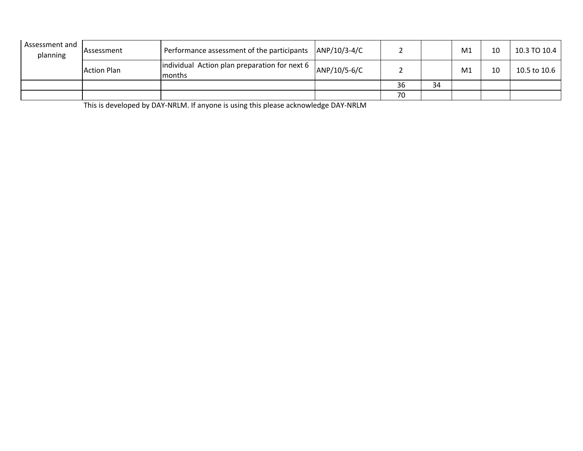| Assessment and<br>planning | <b>Assessment</b>  | Performance assessment of the participants              | ANP/10/3-4/C |    |    | M <sub>1</sub> | 10 | 10.3 TO 10.4 |
|----------------------------|--------------------|---------------------------------------------------------|--------------|----|----|----------------|----|--------------|
|                            | <b>Action Plan</b> | individual Action plan preparation for next 6<br>months |              |    |    | M1             | 10 | 10.5 to 10.6 |
|                            |                    |                                                         |              | 36 | 34 |                |    |              |
|                            |                    |                                                         |              | 70 |    |                |    |              |

This is developed by DAY-NRLM. If anyone is using this please acknowledge DAY-NRLM